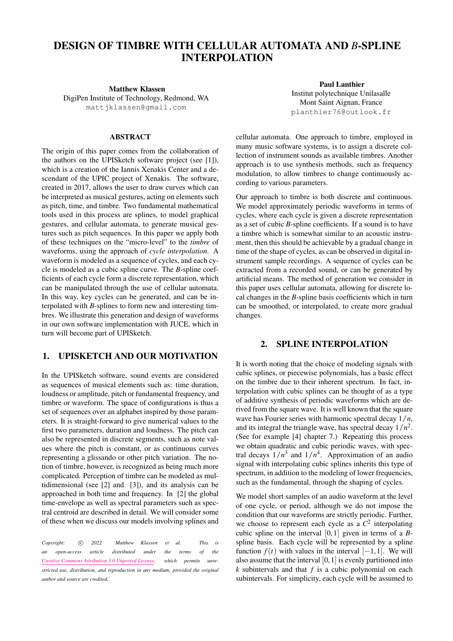# DESIGN OF TIMBRE WITH CELLULAR AUTOMATA AND *B*-SPLINE INTERPOLATION

Matthew Klassen

DigiPen Institute of Technology, Redmond, WA [mattjklassen@gmail.com](mailto:mattjklassen@gmail.com)

### ABSTRACT

The origin of this paper comes from the collaboration of the authors on the UPISketch software project (see [\[1\]](#page-6-0)), which is a creation of the Iannis Xenakis Center and a descendant of the UPIC project of Xenakis. The software, created in 2017, allows the user to draw curves which can be interpreted as musical gestures, acting on elements such as pitch, time, and timbre. Two fundamental mathematical tools used in this process are splines, to model graphical gestures, and cellular automata, to generate musical gestures such as pitch sequences. In this paper we apply both of these techniques on the "micro-level" to the *timbre* of waveforms, using the approach of *cycle interpolation*. A waveform is modeled as a sequence of cycles, and each cycle is modeled as a cubic spline curve. The *B*-spline coefficients of each cycle form a discrete representation, which can be manipulated through the use of cellular automata. In this way, key cycles can be generated, and can be interpolated with *B*-splines to form new and interesting timbres. We illustrate this generation and design of waveforms in our own software implementation with JUCE, which in turn will become part of UPISketch.

## 1. UPISKETCH AND OUR MOTIVATION

In the UPISketch software, sound events are considered as sequences of musical elements such as: time duration, loudness or amplitude, pitch or fundamental frequency, and timbre or waveform. The space of configurations is thus a set of sequences over an alphabet inspired by those parameters. It is straight-forward to give numerical values to the first two parameters, duration and loudness. The pitch can also be represented in discrete segments, such as note values where the pitch is constant, or as continuous curves representing a glissando or other pitch variation. The notion of timbre, however, is recognized as being much more complicated. Perception of timbre can be modeled as multidimensional (see [\[2\]](#page-6-1) and [\[3\]](#page-6-2)), and its analysis can be approached in both time and frequency. In [\[2\]](#page-6-1) the global time-envelope as well as spectral parameters such as spectral centroid are described in detail. We will consider some of these when we discuss our models involving splines and

*Copyright:*  $\odot$  2022 Matthew Klassen et al. This is *an open-access article distributed under the terms of the [Creative Commons Attribution 3.0 Unported License,](http://creativecommons.org/licenses/by/3.0/) which permits unrestricted use, distribution, and reproduction in any medium, provided the original author and source are credited.*

Paul Lanthier Institut polytechnique Unilasalle Mont Saint Aignan, France [planthier76@outlook.fr](mailto:planthier76@outlook.fr)

cellular automata. One approach to timbre, employed in many music software systems, is to assign a discrete collection of instrument sounds as available timbres. Another approach is to use synthesis methods, such as frequency modulation, to allow timbres to change continuously according to various parameters.

Our approach to timbre is both discrete and continuous. We model approximately periodic waveforms in terms of cycles, where each cycle is given a discrete representation as a set of cubic *B*-spline coefficients. If a sound is to have a timbre which is somewhat similar to an acoustic instrument, then this should be achievable by a gradual change in time of the shape of cycles, as can be observed in digital instrument sample recordings. A sequence of cycles can be extracted from a recorded sound, or can be generated by artificial means. The method of generation we consider in this paper uses cellular automata, allowing for discrete local changes in the *B*-spline basis coefficients which in turn can be smoothed, or interpolated, to create more gradual changes.

### 2. SPLINE INTERPOLATION

It is worth noting that the choice of modeling signals with cubic splines, or piecewise polynomials, has a basic effect on the timbre due to their inherent spectrum. In fact, interpolation with cubic splines can be thought of as a type of additive synthesis of periodic waveforms which are derived from the square wave. It is well known that the square wave has Fourier series with harmonic spectral decay 1/*n*, and its integral the triangle wave, has spectral decay  $1/n^2$ . (See for example [\[4\]](#page-6-3) chapter 7.) Repeating this process we obtain quadratic and cubic periodic waves, with spectral decays  $1/n^3$  and  $1/n^4$ . Approximation of an audio signal with interpolating cubic splines inherits this type of spectrum, in addition to the modeling of lower frequencies, such as the fundamental, through the shaping of cycles.

We model short samples of an audio waveform at the level of one cycle, or period, although we do not impose the condition that our waveforms are strictly periodic. Further, we choose to represent each cycle as a  $C^2$  interpolating cubic spline on the interval [0, 1] given in terms of a *B*spline basis. Each cycle will be represented by a spline function  $f(t)$  with values in the interval  $[-1, 1]$ . We will also assume that the interval  $[0, 1]$  is evenly partitioned into *k* subintervals and that *f* is a cubic polynomial on each subintervals. For simplicity, each cycle will be assumed to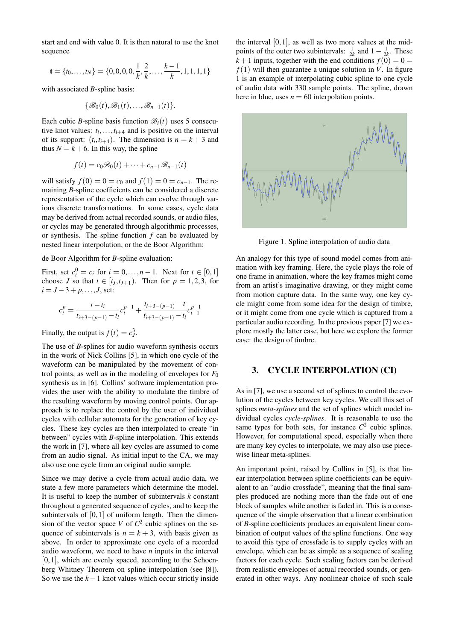start and end with value 0. It is then natural to use the knot sequence

$$
\mathbf{t} = \{t_0, \dots, t_N\} = \{0, 0, 0, 0, \frac{1}{k}, \frac{2}{k}, \dots, \frac{k-1}{k}, 1, 1, 1, 1\}
$$

with associated *B*-spline basis:

$$
\{\mathscr{B}_0(t),\mathscr{B}_1(t),\ldots,\mathscr{B}_{n-1}(t)\}.
$$

Each cubic *B*-spline basis function  $\mathcal{B}_i(t)$  uses 5 consecutive knot values:  $t_i, \ldots, t_{i+4}$  and is positive on the interval of its support:  $(t_i, t_{i+4})$ . The dimension is  $n = k+3$  and thus  $N = k + 6$ . In this way, the spline

$$
f(t) = c_0 \mathscr{B}_0(t) + \cdots + c_{n-1} \mathscr{B}_{n-1}(t)
$$

will satisfy  $f(0) = 0 = c_0$  and  $f(1) = 0 = c_{n-1}$ . The remaining *B*-spline coefficients can be considered a discrete representation of the cycle which can evolve through various discrete transformations. In some cases, cycle data may be derived from actual recorded sounds, or audio files, or cycles may be generated through algorithmic processes, or synthesis. The spline function *f* can be evaluated by nested linear interpolation, or the de Boor Algorithm:

de Boor Algorithm for *B*-spline evaluation:

First, set  $c_i^0 = c_i$  for  $i = 0, ..., n - 1$ . Next for  $t \in [0, 1]$ choose *J* so that  $t \in [t_J, t_{J+1})$ . Then for  $p = 1, 2, 3$ , for  $i = J - 3 + p, \ldots, J$ , set:

$$
c_i^p = \frac{t - t_i}{t_{i+3-(p-1)} - t_i}c_i^{p-1} + \frac{t_{i+3-(p-1)} - t}{t_{i+3-(p-1)} - t_i}c_{i-1}^{p-1}
$$

Finally, the output is  $f(t) = c_J^3$ .

The use of *B*-splines for audio waveform synthesis occurs in the work of Nick Collins [\[5\]](#page-6-4), in which one cycle of the waveform can be manipulated by the movement of control points, as well as in the modeling of envelopes for  $F_0$ synthesis as in [\[6\]](#page-6-5). Collins' software implementation provides the user with the ability to modulate the timbre of the resulting waveform by moving control points. Our approach is to replace the control by the user of individual cycles with cellular automata for the generation of key cycles. These key cycles are then interpolated to create "in between" cycles with *B*-spline interpolation. This extends the work in [\[7\]](#page-7-0), where all key cycles are assumed to come from an audio signal. As initial input to the CA, we may also use one cycle from an original audio sample.

Since we may derive a cycle from actual audio data, we state a few more parameters which determine the model. It is useful to keep the number of subintervals *k* constant throughout a generated sequence of cycles, and to keep the subintervals of  $[0, 1]$  of uniform length. Then the dimension of the vector space *V* of  $C^2$  cubic splines on the sequence of subintervals is  $n = k + 3$ , with basis given as above. In order to approximate one cycle of a recorded audio waveform, we need to have *n* inputs in the interval  $[0, 1]$ , which are evenly spaced, according to the Schoenberg Whitney Theorem on spline interpolation (see [\[8\]](#page-7-1)). So we use the *k*−1 knot values which occur strictly inside the interval  $[0, 1]$ , as well as two more values at the midpoints of the outer two subintervals:  $\frac{1}{2k}$  and  $1 - \frac{1}{2k}$ . These  $k+1$  inputs, together with the end conditions  $f(0) = 0$  $f(1)$  will then guarantee a unique solution in *V*. In figure [1](#page-1-0) is an example of interpolating cubic spline to one cycle of audio data with 330 sample points. The spline, drawn here in blue, uses  $n = 60$  interpolation points.



<span id="page-1-0"></span>Figure 1. Spline interpolation of audio data

An analogy for this type of sound model comes from animation with key framing. Here, the cycle plays the role of one frame in animation, where the key frames might come from an artist's imaginative drawing, or they might come from motion capture data. In the same way, one key cycle might come from some idea for the design of timbre, or it might come from one cycle which is captured from a particular audio recording. In the previous paper [\[7\]](#page-7-0) we explore mostly the latter case, but here we explore the former case: the design of timbre.

## 3. CYCLE INTERPOLATION (CI)

As in [\[7\]](#page-7-0), we use a second set of splines to control the evolution of the cycles between key cycles. We call this set of splines *meta-splines* and the set of splines which model individual cycles *cycle-splines*. It is reasonable to use the same types for both sets, for instance  $C^2$  cubic splines. However, for computational speed, especially when there are many key cycles to interpolate, we may also use piecewise linear meta-splines.

An important point, raised by Collins in [\[5\]](#page-6-4), is that linear interpolation between spline coefficients can be equivalent to an "audio crossfade", meaning that the final samples produced are nothing more than the fade out of one block of samples while another is faded in. This is a consequence of the simple observation that a linear combination of *B*-spline coefficients produces an equivalent linear combination of output values of the spline functions. One way to avoid this type of crossfade is to supply cycles with an envelope, which can be as simple as a sequence of scaling factors for each cycle. Such scaling factors can be derived from realistic envelopes of actual recorded sounds, or generated in other ways. Any nonlinear choice of such scale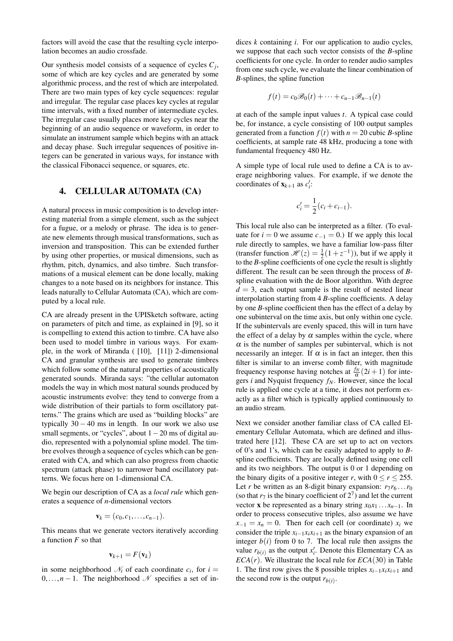factors will avoid the case that the resulting cycle interpolation becomes an audio crossfade.

Our synthesis model consists of a sequence of cycles *C<sup>j</sup>* , some of which are key cycles and are generated by some algorithmic process, and the rest of which are interpolated. There are two main types of key cycle sequences: regular and irregular. The regular case places key cycles at regular time intervals, with a fixed number of intermediate cycles. The irregular case usually places more key cycles near the beginning of an audio sequence or waveform, in order to simulate an instrument sample which begins with an attack and decay phase. Such irregular sequences of positive integers can be generated in various ways, for instance with the classical Fibonacci sequence, or squares, etc.

## 4. CELLULAR AUTOMATA (CA)

A natural process in music composition is to develop interesting material from a simple element, such as the subject for a fugue, or a melody or phrase. The idea is to generate new elements through musical transformations, such as inversion and transposition. This can be extended further by using other properties, or musical dimensions, such as rhythm, pitch, dynamics, and also timbre. Such transformations of a musical element can be done locally, making changes to a note based on its neighbors for instance. This leads naturally to Cellular Automata (CA), which are computed by a local rule.

CA are already present in the UPISketch software, acting on parameters of pitch and time, as explained in [\[9\]](#page-7-2), so it is compelling to extend this action to timbre. CA have also been used to model timbre in various ways. For example, in the work of Miranda ( [\[10\]](#page-7-3), [\[11\]](#page-7-4)) 2-dimensional CA and granular synthesis are used to generate timbres which follow some of the natural properties of acoustically generated sounds. Miranda says: "the cellular automaton models the way in which most natural sounds produced by acoustic instruments evolve: they tend to converge from a wide distribution of their partials to form oscillatory patterns." The grains which are used as "building blocks" are typically  $30 - 40$  ms in length. In our work we also use small segments, or "cycles", about  $1-20$  ms of digital audio, represented with a polynomial spline model. The timbre evolves through a sequence of cycles which can be generated with CA, and which can also progress from chaotic spectrum (attack phase) to narrower band oscillatory patterns. We focus here on 1-dimensional CA.

We begin our description of CA as a *local rule* which generates a sequence of *n*-dimensional vectors

$$
\mathbf{v}_k=(c_0,c_1,\ldots,c_{n-1}).
$$

This means that we generate vectors iteratively according a function *F* so that

$$
\mathbf{v}_{k+1} = F(\mathbf{v}_k)
$$

in some neighborhood  $\mathcal{N}_i$  of each coordinate  $c_i$ , for  $i =$  $0, \ldots, n-1$ . The neighborhood N specifies a set of indices *k* containing *i*. For our application to audio cycles, we suppose that each such vector consists of the *B*-spline coefficients for one cycle. In order to render audio samples from one such cycle, we evaluate the linear combination of *B*-splines, the spline function

$$
f(t) = c_0 \mathscr{B}_0(t) + \cdots + c_{n-1} \mathscr{B}_{n-1}(t)
$$

at each of the sample input values *t*. A typical case could be, for instance, a cycle consisting of 100 output samples generated from a function  $f(t)$  with  $n = 20$  cubic *B*-spline coefficients, at sample rate 48 kHz, producing a tone with fundamental frequency 480 Hz.

A simple type of local rule used to define a CA is to average neighboring values. For example, if we denote the coordinates of  $\mathbf{x}_{k+1}$  as  $c_i'$ :

$$
c'_{i} = \frac{1}{2}(c_{i} + c_{i-1}).
$$

This local rule also can be interpreted as a filter. (To evaluate for  $i = 0$  we assume  $c_{-1} = 0$ .) If we apply this local rule directly to samples, we have a familiar low-pass filter (transfer function  $\mathcal{H}(z) = \frac{1}{2}(1+z^{-1})$ ), but if we apply it to the *B*-spline coefficients of one cycle the result is slightly different. The result can be seen through the process of *B*spline evaluation with the de Boor algorithm. With degree  $d = 3$ , each output sample is the result of nested linear interpolation starting from 4 *B*-spline coefficients. A delay by one *B*-spline coefficient then has the effect of a delay by one subinterval on the time axis, but only within one cycle. If the subintervals are evenly spaced, this will in turn have the effect of a delay by  $\alpha$  samples within the cycle, where  $\alpha$  is the number of samples per subinterval, which is not necessarily an integer. If  $\alpha$  is in fact an integer, then this filter is similar to an inverse comb filter, with magnitude frequency response having notches at  $\frac{f_N}{\alpha}(2i+1)$  for integers *i* and Nyquist frequency *fN*. However, since the local rule is applied one cycle at a time, it does not perform exactly as a filter which is typically applied continuously to an audio stream.

Next we consider another familiar class of CA called Elementary Cellular Automata, which are defined and illustrated here [\[12\]](#page-7-5). These CA are set up to act on vectors of 0's and 1's, which can be easily adapted to apply to *B*spline coefficients. They are locally defined using one cell and its two neighbors. The output is 0 or 1 depending on the binary digits of a positive integer *r*, with  $0 \le r \le 255$ . Let *r* be written as an 8-digit binary expansion:  $r_7r_6 \dots r_0$ (so that  $r_7$  is the binary coefficient of  $2^7$ ) and let the current vector **x** be represented as a binary string  $x_0x_1 \ldots x_{n-1}$ . In order to process consecutive triples, also assume we have  $x_{-1} = x_n = 0$ . Then for each cell (or coordinate)  $x_i$  we consider the triple  $x_{i-1}x_ix_{i+1}$  as the binary expansion of an integer  $b(i)$  from 0 to 7. The local rule then assigns the value  $r_{b(i)}$  as the output  $x_i'$ . Denote this Elementary CA as *ECA*( $r$ ). We illustrate the local rule for  $ECA(30)$  in Table [1.](#page-3-0) The first row gives the 8 possible triples  $x_{i-1}x_ix_{i+1}$  and the second row is the output  $r_{b(i)}$ .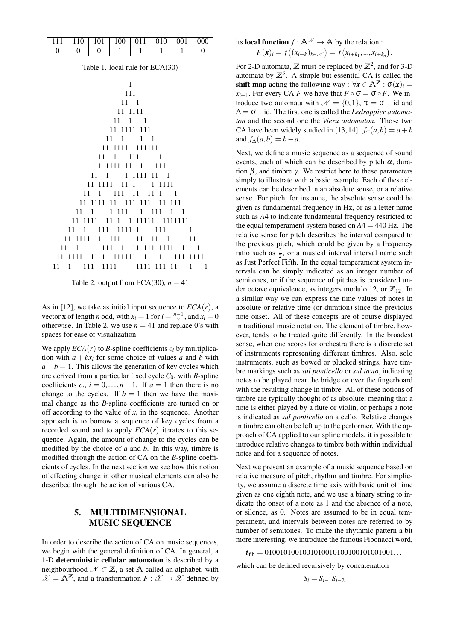| $111 \mid 110 \mid 101$ |  |  | $\mid$ 100   011   010   001 | $\vert$ 000 |
|-------------------------|--|--|------------------------------|-------------|
|                         |  |  |                              |             |

Table 1. local rule for ECA(30)

<span id="page-3-0"></span>

<span id="page-3-1"></span>Table 2. output from ECA(30),  $n = 41$ 

As in [\[12\]](#page-7-5), we take as initial input sequence to  $ECA(r)$ , a vector **x** of length *n* odd, with  $x_i = 1$  for  $i = \frac{n-1}{2}$ , and  $x_i = 0$ otherwise. In Table [2,](#page-3-1) we use  $n = 41$  and replace 0's with spaces for ease of visualization.

We apply  $ECA(r)$  to *B*-spline coefficients  $c_i$  by multiplication with  $a + bx_i$  for some choice of values a and b with  $a + b = 1$ . This allows the generation of key cycles which are derived from a particular fixed cycle  $C_0$ , with *B*-spline coefficients  $c_i$ ,  $i = 0,...,n-1$ . If  $a = 1$  then there is no change to the cycles. If  $b = 1$  then we have the maximal change as the *B*-spline coefficients are turned on or off according to the value of  $x_i$  in the sequence. Another approach is to borrow a sequence of key cycles from a recorded sound and to apply  $ECA(r)$  iterates to this sequence. Again, the amount of change to the cycles can be modified by the choice of *a* and *b*. In this way, timbre is modified through the action of CA on the *B*-spline coefficients of cycles. In the next section we see how this notion of effecting change in other musical elements can also be described through the action of various CA.

## 5. MULTIDIMENSIONAL MUSIC SEQUENCE

In order to describe the action of CA on music sequences, we begin with the general definition of CA. In general, a 1-D deterministic cellular automaton is described by a neighbourhood  $N \subset \mathbb{Z}$ , a set A called an alphabet, with  $\mathscr{X} = \mathbb{A}^{\mathbb{Z}}$ , and a transformation  $F : \mathscr{X} \to \mathscr{X}$  defined by

its local function 
$$
f : \mathbb{A}^{\mathcal{N}} \to \mathbb{A}
$$
 by the relation :  

$$
F(\mathbf{x})_i = f((x_{i+k})_{k \in \mathcal{N}}) = f(x_{i+k_1},...,x_{i+k_n}).
$$

For 2-D automata,  $\mathbb{Z}$  must be replaced by  $\mathbb{Z}^2$ , and for 3-D automata by  $\mathbb{Z}^3$ . A simple but essential CA is called the shift map acting the following way :  $\forall x \in \mathbb{A}^{\mathbb{Z}} : \sigma(x) =$  $x_{i+1}$ . For every CA *F* we have that  $F \circ \sigma = \sigma \circ F$ . We introduce two automata with  $\mathcal{N} = \{0, 1\}$ ,  $\tau = \sigma + id$  and ∆ = σ−id. The first one is called the *Ledrappier automaton* and the second one the *Vieru automaton*. Those two CA have been widely studied in [\[13,](#page-7-6) [14\]](#page-7-7).  $f_{\tau}(a,b) = a + b$ and  $f_{\Delta}(a,b) = b - a$ .

Next, we define a music sequence as a sequence of sound events, each of which can be described by pitch  $\alpha$ , duration  $β$ , and timbre γ. We restrict here to these parameters simply to illustrate with a basic example. Each of these elements can be described in an absolute sense, or a relative sense. For pitch, for instance, the absolute sense could be given as fundamental frequency in Hz, or as a letter name such as *A*4 to indicate fundamental frequency restricted to the equal temperament system based on  $A4 = 440$  Hz. The relative sense for pitch describes the interval compared to the previous pitch, which could be given by a frequency ratio such as  $\frac{3}{2}$ , or a musical interval interval name such as Just Perfect Fifth. In the equal temperament system intervals can be simply indicated as an integer number of semitones, or if the sequence of pitches is considered under octave equivalence, as integers modulo 12, or  $\mathbb{Z}_{12}$ . In a similar way we can express the time values of notes in absolute or relative time (or duration) since the previoius note onset. All of these concepts are of course displayed in traditional music notation. The element of timbre, however, tends to be treated quite differently. In the broadest sense, when one scores for orchestra there is a discrete set of instruments representing different timbres. Also, solo instruments, such as bowed or plucked strings, have timbre markings such as *sul ponticello* or *sul tasto*, indicating notes to be played near the bridge or over the fingerboard with the resulting change in timbre. All of these notions of timbre are typically thought of as absolute, meaning that a note is either played by a flute or violin, or perhaps a note is indicated as *sul ponticello* on a cello. Relative changes in timbre can often be left up to the performer. With the approach of CA applied to our spline models, it is possible to introduce relative changes to timbre both within individual notes and for a sequence of notes.

Next we present an example of a music sequence based on relative measure of pitch, rhythm and timbre. For simplicity, we assume a discrete time axis with basic unit of time given as one eighth note, and we use a binary string to indicate the onset of a note as 1 and the absence of a note, or silence, as 0. Notes are assumed to be in equal temperament, and intervals between notes are referred to by number of semitones. To make the rhythmic pattern a bit more interesting, we introduce the famous Fibonacci word,

 $t_{\text{fib}} = 01001010010010100101001001001001...$ 

which can be defined recursively by concatenation

 $S_i = S_{i-1}S_{i-2}$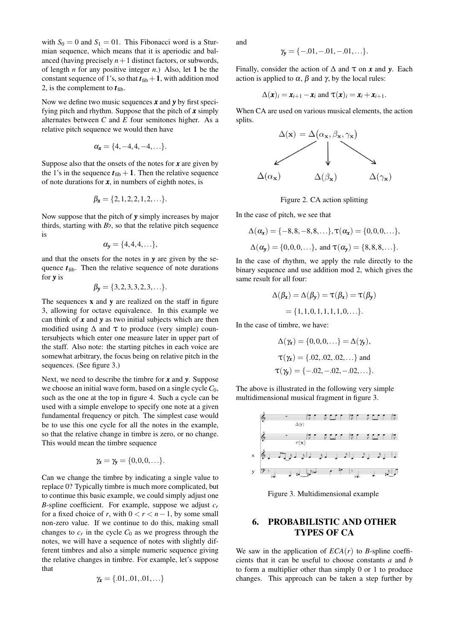with  $S_0 = 0$  and  $S_1 = 01$ . This Fibonacci word is a Sturmian sequence, which means that it is aperiodic and balanced (having precisely  $n+1$  distinct factors, or subwords, of length *n* for any positive integer *n*.) Also, let 1 be the constant sequence of 1's, so that  $t_{\text{fib}}+1$ , with addition mod 2, is the complement to  $t_{\text{fib}}$ .

Now we define two music sequences *x* and *y* by first specifying pitch and rhythm. Suppose that the pitch of *x* simply alternates between *C* and *E* four semitones higher. As a relative pitch sequence we would then have

$$
\alpha_{\boldsymbol{x}}=\{4,-4,4,-4,\ldots\}.
$$

Suppose also that the onsets of the notes for *x* are given by the 1's in the sequence  $t_{\text{fib}} + 1$ . Then the relative sequence of note durations for  $x$ , in numbers of eighth notes, is

$$
\beta_{\mathbf{x}} = \{2, 1, 2, 2, 1, 2, \ldots\}.
$$

Now suppose that the pitch of *y* simply increases by major thirds, starting with  $B$ *b*, so that the relative pitch sequence is

$$
\alpha_{y} = \{4, 4, 4, \ldots\},\
$$

and that the onsets for the notes in *y* are given by the sequence  $t_{\text{fib}}$ . Then the relative sequence of note durations for *y* is

$$
\beta_{\mathbf{y}} = \{3, 2, 3, 3, 2, 3, \ldots\}.
$$

The sequences  $x$  and  $y$  are realized on the staff in figure [3,](#page-4-0) allowing for octave equivalence. In this example we can think of *x* and *y* as two initial subjects which are then modified using  $\Delta$  and  $\tau$  to produce (very simple) countersubjects which enter one measure later in upper part of the staff. Also note: the starting pitches in each voice are somewhat arbitrary, the focus being on relative pitch in the sequences. (See figure [3.](#page-4-0))

Next, we need to describe the timbre for *x* and *y*. Suppose we choose an initial wave form, based on a single cycle  $C_0$ , such as the one at the top in figure [4.](#page-5-0) Such a cycle can be used with a simple envelope to specify one note at a given fundamental frequency or pitch. The simplest case would be to use this one cycle for all the notes in the example, so that the relative change in timbre is zero, or no change. This would mean the timbre sequence

$$
\gamma_{\mathbf{x}}=\gamma_{\mathbf{y}}=\{0,0,0,\ldots\}.
$$

Can we change the timbre by indicating a single value to replace 0? Typically timbre is much more complicated, but to continue this basic example, we could simply adjust one *B*-spline coefficient. For example, suppose we adjust  $c_r$ for a fixed choice of *r*, with  $0 < r < n-1$ , by some small non-zero value. If we continue to do this, making small changes to  $c_r$  in the cycle  $C_0$  as we progress through the notes, we will have a sequence of notes with slightly different timbres and also a simple numeric sequence giving the relative changes in timbre. For example, let's suppose that

$$
\gamma_{\pmb{x}} = \{.01, .01, .01, \ldots\}
$$

and

$$
\gamma_{\mathbf{y}} = \{-.01, -.01, -.01, \ldots\}.
$$

Finally, consider the action of  $\Delta$  and  $\tau$  on  $x$  and  $y$ . Each action is applied to  $\alpha$ ,  $\beta$  and  $\gamma$ , by the local rules:

$$
\Delta(\boldsymbol{x})_i = \boldsymbol{x}_{i+1} - \boldsymbol{x}_i \text{ and } \tau(\boldsymbol{x})_i = \boldsymbol{x}_i + \boldsymbol{x}_{i+1}.
$$

When CA are used on various musical elements, the action splits.



Figure 2. CA action splitting

In the case of pitch, we see that

$$
\Delta(\alpha_{\mathbf{x}}) = \{-8, 8, -8, 8, \ldots\}, \tau(\alpha_{\mathbf{x}}) = \{0, 0, 0, \ldots\},
$$
  

$$
\Delta(\alpha_{\mathbf{y}}) = \{0, 0, 0, \ldots\}, \text{ and } \tau(\alpha_{\mathbf{y}}) = \{8, 8, 8, \ldots\}.
$$

In the case of rhythm, we apply the rule directly to the binary sequence and use addition mod 2, which gives the same result for all four:

$$
\Delta(\beta_{\mathbf{x}}) = \Delta(\beta_{\mathbf{y}}) = \tau(\beta_{\mathbf{x}}) = \tau(\beta_{\mathbf{y}})
$$

$$
= \{1, 1, 0, 1, 1, 1, 1, 0, \ldots\}.
$$

In the case of timbre, we have:

$$
\Delta(\gamma_{\mathbf{x}}) = \{0, 0, 0, \ldots\} = \Delta(\gamma_{\mathbf{y}}),
$$
  
\n
$$
\tau(\gamma_{\mathbf{x}}) = \{.02, .02, .02, \ldots\} \text{ and}
$$
  
\n
$$
\tau(\gamma_{\mathbf{y}}) = \{-.02, -.02, -.02, \ldots\}.
$$

The above is illustrated in the following very simple multidimensional musical fragment in figure [3.](#page-4-0)

<span id="page-4-0"></span>Figure 3. Multidimensional example

## 6. PROBABILISTIC AND OTHER TYPES OF CA

We saw in the application of  $ECA(r)$  to *B*-spline coefficients that it can be useful to choose constants *a* and *b* to form a multiplier other than simply 0 or 1 to produce changes. This approach can be taken a step further by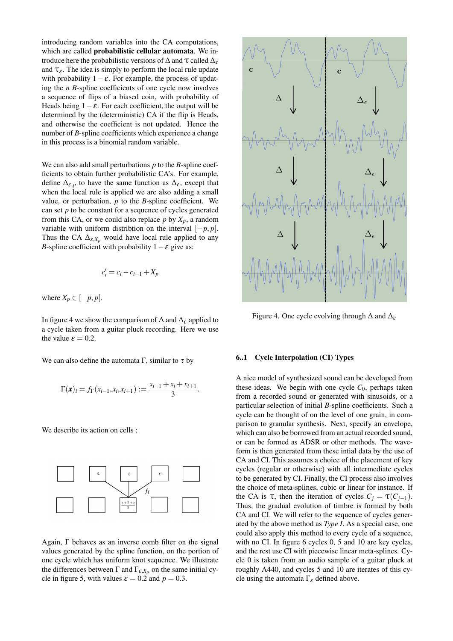introducing random variables into the CA computations, which are called probabilistic cellular automata. We introduce here the probabilistic versions of  $\Delta$  and  $\tau$  called  $\Delta_{\varepsilon}$ and  $\tau_{\varepsilon}$ . The idea is simply to perform the local rule update with probability  $1 - \varepsilon$ . For example, the process of updating the *n B*-spline coefficients of one cycle now involves a sequence of flips of a biased coin, with probability of Heads being  $1 - \varepsilon$ . For each coefficient, the output will be determined by the (deterministic) CA if the flip is Heads, and otherwise the coefficient is not updated. Hence the number of *B*-spline coefficients which experience a change in this process is a binomial random variable.

We can also add small perturbations *p* to the *B*-spline coefficients to obtain further probabilistic CA's. For example, define  $\Delta_{\varepsilon,p}$  to have the same function as  $\Delta_{\varepsilon}$ , except that when the local rule is applied we are also adding a small value, or perturbation, *p* to the *B*-spline coefficient. We can set *p* to be constant for a sequence of cycles generated from this CA, or we could also replace  $p$  by  $X_p$ , a random variable with uniform distribtion on the interval  $[-p, p]$ . Thus the CA  $\Delta_{\varepsilon, X_p}$  would have local rule applied to any *B*-spline coefficient with probability  $1 - \varepsilon$  give as:

$$
c_i' = c_i - c_{i-1} + X_p
$$

where  $X_p \in [-p, p]$ .

In figure [4](#page-5-0) we show the comparison of  $\Delta$  and  $\Delta_{\varepsilon}$  applied to a cycle taken from a guitar pluck recording. Here we use the value  $\varepsilon = 0.2$ .

We can also define the automata  $\Gamma$ , similar to  $\tau$  by

$$
\Gamma(\mathbf{x})_i = f_{\Gamma}(x_{i-1}, x_i, x_{i+1}) := \frac{x_{i-1} + x_i + x_{i+1}}{3}.
$$

We describe its action on cells :



Again, Γ behaves as an inverse comb filter on the signal values generated by the spline function, on the portion of one cycle which has uniform knot sequence. We illustrate the differences between  $\Gamma$  and  $\Gamma_{\varepsilon, X_p}$  on the same initial cy-cle in figure [5,](#page-6-6) with values  $\varepsilon = 0.2$  and  $p = 0.3$ .



<span id="page-5-0"></span>Figure 4. One cycle evolving through  $\Delta$  and  $\Delta_{\epsilon}$ 

#### 6..1 Cycle Interpolation (CI) Types

A nice model of synthesized sound can be developed from these ideas. We begin with one cycle  $C_0$ , perhaps taken from a recorded sound or generated with sinusoids, or a particular selection of initial *B*-spline coefficients. Such a cycle can be thought of on the level of one grain, in comparison to granular synthesis. Next, specify an envelope, which can also be borrowed from an actual recorded sound, or can be formed as ADSR or other methods. The waveform is then generated from these intial data by the use of CA and CI. This assumes a choice of the placement of key cycles (regular or otherwise) with all intermediate cycles to be generated by CI. Finally, the CI process also involves the choice of meta-splines, cubic or linear for instance. If the CA is  $\tau$ , then the iteration of cycles  $C_i = \tau(C_{i-1})$ . Thus, the gradual evolution of timbre is formed by both CA and CI. We will refer to the sequence of cycles generated by the above method as *Type I*. As a special case, one could also apply this method to every cycle of a sequence, with no CI. In figure [6](#page-6-7) cycles 0, 5 and 10 are key cycles, and the rest use CI with piecewise linear meta-splines. Cycle 0 is taken from an audio sample of a guitar pluck at roughly A440, and cycles 5 and 10 are iterates of this cycle using the automata  $\Gamma_{\varepsilon}$  defined above.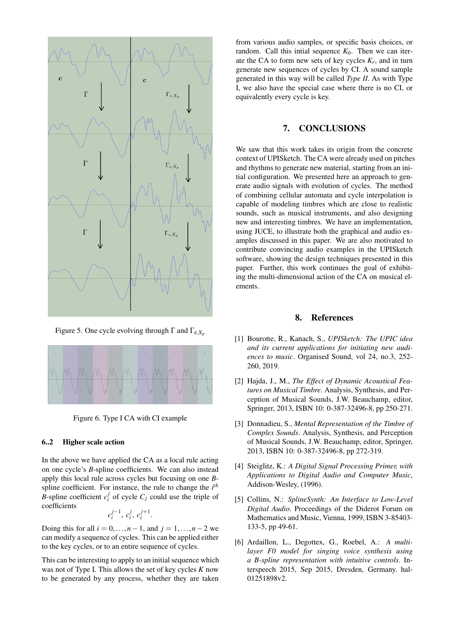

<span id="page-6-6"></span>Figure 5. One cycle evolving through  $\Gamma$  and  $\Gamma_{\varepsilon}$ *x<sub>p</sub>* 



<span id="page-6-7"></span>Figure 6. Type I CA with CI example

#### 6..2 Higher scale action

In the above we have applied the CA as a local rule acting on one cycle's *B*-spline coefficients. We can also instead apply this local rule across cycles but focusing on one *B*spline coefficient. For instance, the rule to change the *i th B*-spline coefficient  $c_i^j$  of cycle  $C_j$  could use the triple of coefficients

$$
c_i^{j-1}, c_i^j, c_i^{j+1}.
$$

Doing this for all *i* = 0,...,*n*−1, and *j* = 1,...,*n*−2 we can modify a sequence of cycles. This can be applied either to the key cycles, or to an entire sequence of cycles.

This can be interesting to apply to an initial sequence which was not of Type I. This allows the set of key cycles *K* now to be generated by any process, whether they are taken from various audio samples, or specific basis choices, or random. Call this intial sequence  $K_0$ . Then we can iterate the CA to form new sets of key cycles  $K_r$ , and in turn generate new sequences of cycles by CI. A sound sample generated in this way will be called *Type II*. As with Type I, we also have the special case where there is no CI, or equivalently every cycle is key.

## 7. CONCLUSIONS

We saw that this work takes its origin from the concrete context of UPISketch. The CA were already used on pitches and rhythms to generate new material, starting from an initial configuration. We presented here an approach to generate audio signals with evolution of cycles. The method of combining cellular automata and cycle interpolation is capable of modeling timbres which are close to realistic sounds, such as musical instruments, and also designing new and interesting timbres. We have an implementation, using JUCE, to illustrate both the graphical and audio examples discussed in this paper. We are also motivated to contribute convincing audio examples in the UPISketch software, showing the design techniques presented in this paper. Further, this work continues the goal of exhibiting the multi-dimensional action of the CA on musical elements.

### 8. References

- <span id="page-6-0"></span>[1] Bourotte, R., Kanach, S., *UPISketch: The UPIC idea and its current applications for initiating new audiences to music*. Organised Sound, vol 24, no.3, 252- 260, 2019.
- <span id="page-6-1"></span>[2] Hajda, J., M., *The Effect of Dynamic Acoustical Features on Musical Timbre*. Analysis, Synthesis, and Perception of Musical Sounds, J.W. Beauchamp, editor, Springer, 2013, ISBN 10: 0-387-32496-8, pp 250-271.
- <span id="page-6-2"></span>[3] Donnadieu, S., *Mental Representation of the Timbre of Complex Sounds*. Analysis, Synthesis, and Perception of Musical Sounds, J.W. Beauchamp, editor, Springer, 2013, ISBN 10: 0-387-32496-8, pp 272-319.
- <span id="page-6-3"></span>[4] Steiglitz, K.: *A Digital Signal Processing Primer, with Applications to Digital Audio and Computer Music*, Addison-Wesley, (1996).
- <span id="page-6-4"></span>[5] Collins, N.: *SplineSynth: An Interface to Low-Level Digital Audio*. Proceedings of the Diderot Forum on Mathematics and Music, Vienna, 1999, ISBN 3-85403- 133-5, pp 49-61.
- <span id="page-6-5"></span>[6] Ardaillon, L., Degottex, G., Roebel, A.: *A multilayer F0 model for singing voice synthesis using a B-spline representation with intuitive controls*. Interspeech 2015, Sep 2015, Dresden, Germany. hal-01251898v2.